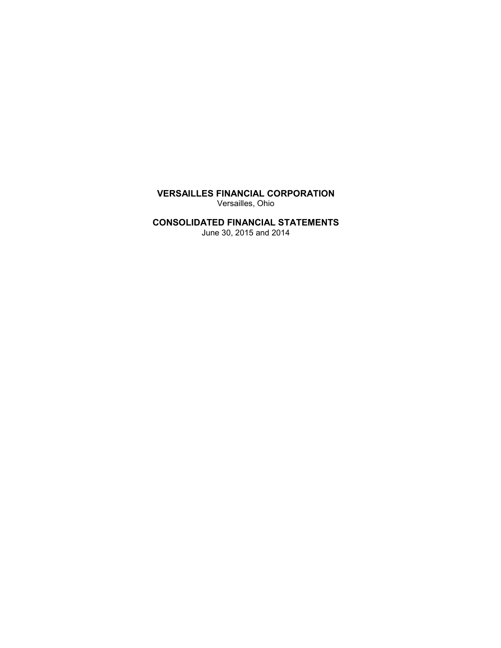**VERSAILLES FINANCIAL CORPORATION** Versailles, Ohio

# **CONSOLIDATED FINANCIAL STATEMENTS**

June 30, 2015 and 2014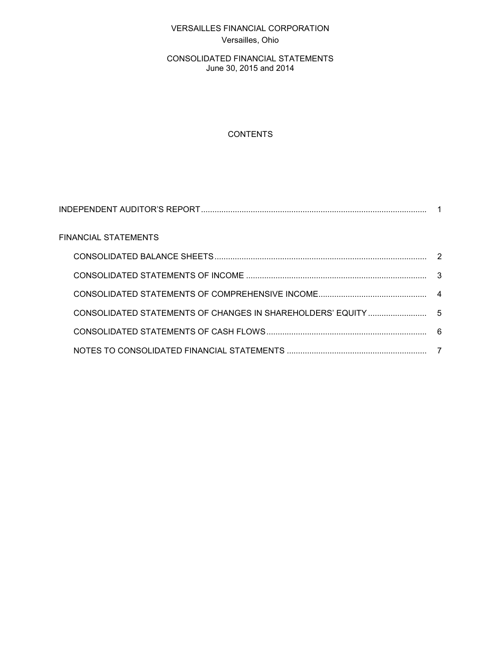# VERSAILLES FINANCIAL CORPORATION Versailles, Ohio

CONSOLIDATED FINANCIAL STATEMENTS June 30, 2015 and 2014

# **CONTENTS**

| FINANCIAL STATEMENTS |   |
|----------------------|---|
|                      |   |
|                      |   |
|                      |   |
|                      |   |
|                      |   |
|                      | 7 |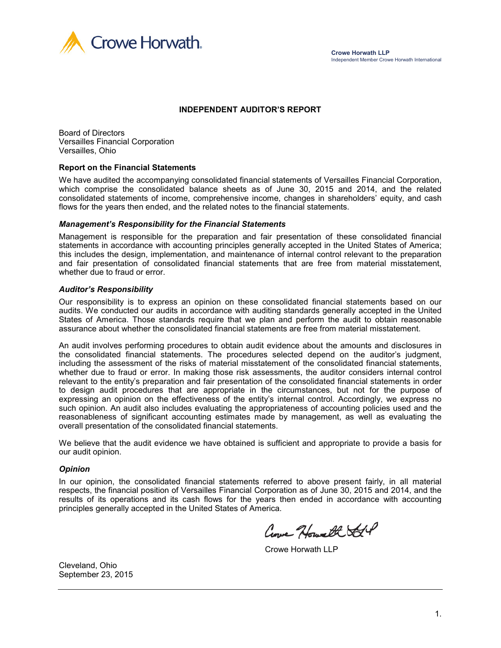

#### **INDEPENDENT AUDITOR'S REPORT**

Board of Directors Versailles Financial Corporation Versailles, Ohio

#### **Report on the Financial Statements**

We have audited the accompanying consolidated financial statements of Versailles Financial Corporation, which comprise the consolidated balance sheets as of June 30, 2015 and 2014, and the related consolidated statements of income, comprehensive income, changes in shareholders' equity, and cash flows for the years then ended, and the related notes to the financial statements.

#### *Management's Responsibility for the Financial Statements*

Management is responsible for the preparation and fair presentation of these consolidated financial statements in accordance with accounting principles generally accepted in the United States of America; this includes the design, implementation, and maintenance of internal control relevant to the preparation and fair presentation of consolidated financial statements that are free from material misstatement, whether due to fraud or error.

#### *Auditor's Responsibility*

Our responsibility is to express an opinion on these consolidated financial statements based on our audits. We conducted our audits in accordance with auditing standards generally accepted in the United States of America. Those standards require that we plan and perform the audit to obtain reasonable assurance about whether the consolidated financial statements are free from material misstatement.

An audit involves performing procedures to obtain audit evidence about the amounts and disclosures in the consolidated financial statements. The procedures selected depend on the auditor's judgment, including the assessment of the risks of material misstatement of the consolidated financial statements, whether due to fraud or error. In making those risk assessments, the auditor considers internal control relevant to the entity's preparation and fair presentation of the consolidated financial statements in order to design audit procedures that are appropriate in the circumstances, but not for the purpose of expressing an opinion on the effectiveness of the entity's internal control. Accordingly, we express no such opinion. An audit also includes evaluating the appropriateness of accounting policies used and the reasonableness of significant accounting estimates made by management, as well as evaluating the overall presentation of the consolidated financial statements.

We believe that the audit evidence we have obtained is sufficient and appropriate to provide a basis for our audit opinion.

#### *Opinion*

In our opinion, the consolidated financial statements referred to above present fairly, in all material respects, the financial position of Versailles Financial Corporation as of June 30, 2015 and 2014, and the results of its operations and its cash flows for the years then ended in accordance with accounting principles generally accepted in the United States of America.

Cove Howeth St

Crowe Horwath LLP

Cleveland, Ohio September 23, 2015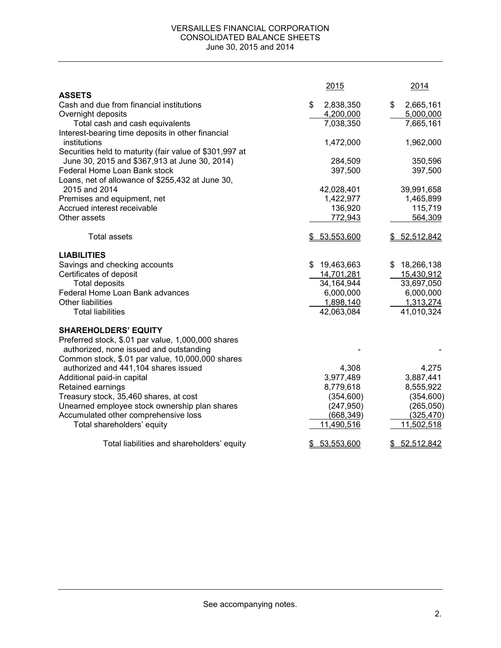#### VERSAILLES FINANCIAL CORPORATION CONSOLIDATED BALANCE SHEETS June 30, 2015 and 2014

|                                                         | 2015            | 2014            |
|---------------------------------------------------------|-----------------|-----------------|
| <b>ASSETS</b>                                           |                 |                 |
| Cash and due from financial institutions                | \$<br>2,838,350 | 2,665,161<br>\$ |
| Overnight deposits                                      | 4,200,000       | 5,000,000       |
| Total cash and cash equivalents                         | 7,038,350       | 7,665,161       |
| Interest-bearing time deposits in other financial       |                 |                 |
| institutions                                            | 1,472,000       | 1,962,000       |
| Securities held to maturity (fair value of \$301,997 at |                 |                 |
| June 30, 2015 and \$367,913 at June 30, 2014)           | 284,509         | 350,596         |
| Federal Home Loan Bank stock                            | 397,500         | 397,500         |
| Loans, net of allowance of \$255,432 at June 30,        |                 |                 |
| 2015 and 2014                                           | 42,028,401      | 39,991,658      |
| Premises and equipment, net                             | 1,422,977       | 1,465,899       |
| Accrued interest receivable                             | 136,920         | 115,719         |
| Other assets                                            | 772,943         | 564,309         |
| <b>Total assets</b>                                     | \$53,553,600    | \$52,512,842    |
| <b>LIABILITIES</b>                                      |                 |                 |
| Savings and checking accounts                           | \$19,463,663    | \$18,266,138    |
| Certificates of deposit                                 | 14,701,281      | 15,430,912      |
| <b>Total deposits</b>                                   | 34,164,944      | 33,697,050      |
| Federal Home Loan Bank advances                         | 6,000,000       | 6,000,000       |
| <b>Other liabilities</b>                                | 1,898,140       | 1,313,274       |
| <b>Total liabilities</b>                                | 42,063,084      | 41,010,324      |
| <b>SHAREHOLDERS' EQUITY</b>                             |                 |                 |
| Preferred stock, \$.01 par value, 1,000,000 shares      |                 |                 |
| authorized, none issued and outstanding                 |                 |                 |
| Common stock, \$.01 par value, 10,000,000 shares        |                 |                 |
| authorized and 441,104 shares issued                    | 4,308           | 4,275           |
| Additional paid-in capital                              | 3,977,489       | 3,887,441       |
| Retained earnings                                       | 8,779,618       | 8,555,922       |
| Treasury stock, 35,460 shares, at cost                  | (354, 600)      | (354, 600)      |
| Unearned employee stock ownership plan shares           | (247, 950)      | (265, 050)      |
| Accumulated other comprehensive loss                    | (668, 349)      | (325, 470)      |
| Total shareholders' equity                              | 11,490,516      | 11,502,518      |
| Total liabilities and shareholders' equity              | \$53,553,600    | \$52,512,842    |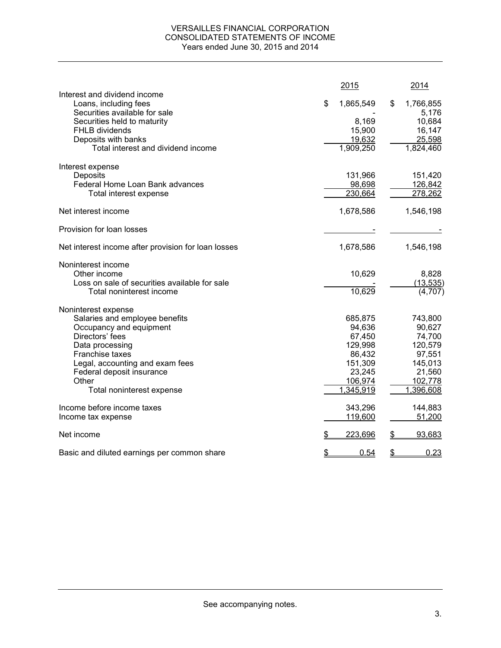# VERSAILLES FINANCIAL CORPORATION CONSOLIDATED STATEMENTS OF INCOME Years ended June 30, 2015 and 2014

|                                                                                                                                                                                                                                                 | 2015                                                                                          | 2014                                                                                          |
|-------------------------------------------------------------------------------------------------------------------------------------------------------------------------------------------------------------------------------------------------|-----------------------------------------------------------------------------------------------|-----------------------------------------------------------------------------------------------|
| Interest and dividend income<br>Loans, including fees<br>Securities available for sale<br>Securities held to maturity<br>FHLB dividends<br>Deposits with banks<br>Total interest and dividend income                                            | \$<br>1,865,549<br>8,169<br>15,900<br>19,632<br>1,909,250                                     | \$<br>1,766,855<br>5,176<br>10,684<br>16,147<br>25,598<br>1,824,460                           |
| Interest expense<br>Deposits<br>Federal Home Loan Bank advances<br>Total interest expense                                                                                                                                                       | 131,966<br>98,698<br>230,664                                                                  | 151,420<br>126,842<br>278,262                                                                 |
| Net interest income                                                                                                                                                                                                                             | 1,678,586                                                                                     | 1,546,198                                                                                     |
| Provision for loan losses                                                                                                                                                                                                                       |                                                                                               |                                                                                               |
| Net interest income after provision for loan losses                                                                                                                                                                                             | 1,678,586                                                                                     | 1,546,198                                                                                     |
| Noninterest income<br>Other income<br>Loss on sale of securities available for sale<br>Total noninterest income                                                                                                                                 | 10,629<br>10,629                                                                              | 8,828<br>(13, 535)<br>(4,707)                                                                 |
| Noninterest expense<br>Salaries and employee benefits<br>Occupancy and equipment<br>Directors' fees<br>Data processing<br>Franchise taxes<br>Legal, accounting and exam fees<br>Federal deposit insurance<br>Other<br>Total noninterest expense | 685,875<br>94,636<br>67,450<br>129,998<br>86,432<br>151,309<br>23,245<br>106,974<br>1,345,919 | 743,800<br>90,627<br>74,700<br>120,579<br>97,551<br>145,013<br>21,560<br>102,778<br>1,396,608 |
| Income before income taxes<br>Income tax expense                                                                                                                                                                                                | 343,296<br>119,600                                                                            | 144,883<br>51,200                                                                             |
| Net income                                                                                                                                                                                                                                      | \$<br>223,696                                                                                 | \$<br>93,683                                                                                  |
| Basic and diluted earnings per common share                                                                                                                                                                                                     | \$<br>0.54                                                                                    | \$<br>0.23                                                                                    |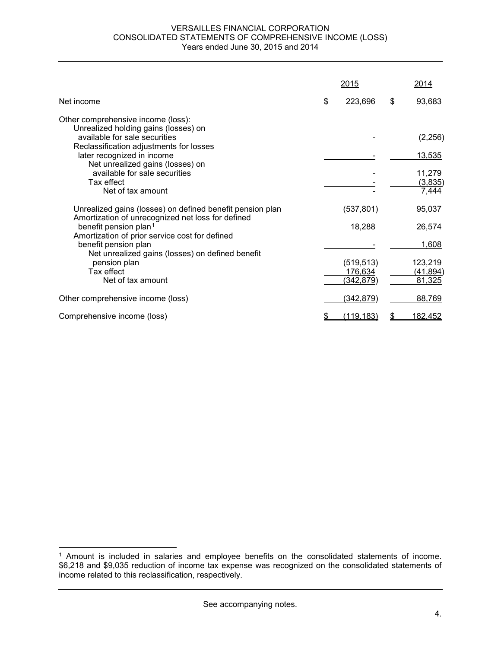#### VERSAILLES FINANCIAL CORPORATION CONSOLIDATED STATEMENTS OF COMPREHENSIVE INCOME (LOSS) Years ended June 30, 2015 and 2014

|                                                                                                                  |    | 2015                                      | 2014                           |
|------------------------------------------------------------------------------------------------------------------|----|-------------------------------------------|--------------------------------|
| Net income                                                                                                       | \$ | 223,696                                   | \$<br>93,683                   |
| Other comprehensive income (loss):                                                                               |    |                                           |                                |
| Unrealized holding gains (losses) on<br>available for sale securities<br>Reclassification adjustments for losses |    |                                           | (2, 256)                       |
| later recognized in income<br>Net unrealized gains (losses) on                                                   |    |                                           | <u>13,535</u>                  |
| available for sale securities<br>Tax effect<br>Net of tax amount                                                 |    |                                           | 11,279<br>(3,835)<br>7,444     |
| Unrealized gains (losses) on defined benefit pension plan<br>Amortization of unrecognized net loss for defined   |    | (537, 801)                                | 95,037                         |
| benefit pension plan <sup>1</sup><br>Amortization of prior service cost for defined                              |    | 18,288                                    | 26,574                         |
| benefit pension plan<br>Net unrealized gains (losses) on defined benefit                                         |    |                                           | 1,608                          |
| pension plan<br>Tax effect<br>Net of tax amount                                                                  |    | (519, 513)<br>176,634<br><u>(342,879)</u> | 123,219<br>(41, 894)<br>81,325 |
| Other comprehensive income (loss)                                                                                |    | (342, 879)                                | 88,769                         |
| Comprehensive income (loss)                                                                                      | S  | (119, 183)                                | \$<br><u>182,452</u>           |

<sup>1</sup> Amount is included in salaries and employee benefits on the consolidated statements of income. \$6,218 and \$9,035 reduction of income tax expense was recognized on the consolidated statements of income related to this reclassification, respectively.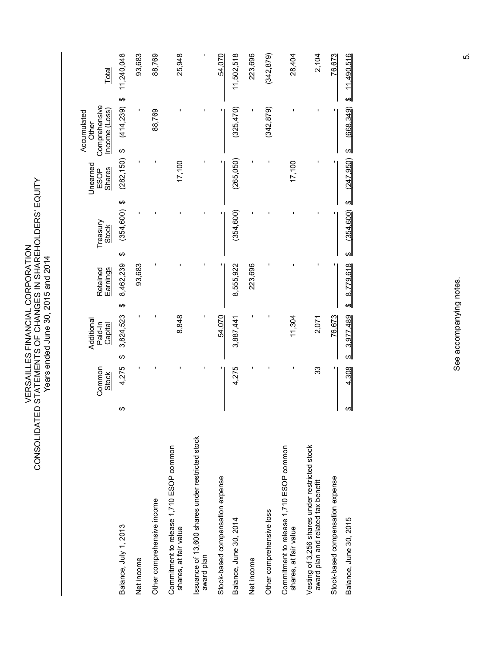VERSAILLES FINANCIAL CORPORATION<br>CONSOLIDATED STATEMENTS OF CHANGES IN SHAREHOLDERS' EQUITY<br>Years ended June 30, 2015 and 2014 CONSOLIDATED STATEMENTS OF CHANGES IN SHAREHOLDERS' EQUITY VERSAILLES FINANCIAL CORPORATION Years ended June 30, 2015 and 2014

|                                                                                      |   | Common<br><b>Stock</b> | Additional<br>Paid-In<br>Capital |   | Retained<br>Earnings |     | Treasury<br><b>Stock</b> | Unearned<br>Shares<br>ESOP | Comprehensive<br>Income (Loss)<br>Accumulated<br>Other | <b>Total</b> |
|--------------------------------------------------------------------------------------|---|------------------------|----------------------------------|---|----------------------|-----|--------------------------|----------------------------|--------------------------------------------------------|--------------|
| Balance, July 1, 2013                                                                | ↮ | 4,275                  | 3,824,523<br>မာ                  | ↔ | 8,462,239            | ↔   | $(354,600)$ \$           |                            | $(282, 150)$ \$ $(414, 239)$ \$ $11, 240, 048$         |              |
| Net income                                                                           |   |                        |                                  |   | 93,683               |     |                          |                            |                                                        | 93,683       |
| Other comprehensive income                                                           |   |                        |                                  |   |                      |     |                          |                            | 88,769                                                 | 88,769       |
| Commitment to release 1,710 ESOP common<br>shares, at fair value                     |   |                        | 8,848                            |   |                      |     |                          | 17,100                     |                                                        | 25,948       |
| Issuance of 13,600 shares under restricted stock<br>award plan                       |   |                        |                                  |   |                      |     |                          |                            |                                                        |              |
| Stock-based compensation expense                                                     |   |                        | 54,070                           |   |                      |     |                          |                            |                                                        | 54,070       |
| Balance, June 30, 2014                                                               |   | 4,275                  | 3,887,441                        |   | 8,555,922            |     | (354, 600)               | (265, 050)                 | (325, 470)                                             | 11,502,518   |
| Net income                                                                           |   |                        |                                  |   | 223,696              |     |                          |                            |                                                        | 223,696      |
| Other comprehensive loss                                                             |   |                        |                                  |   |                      |     |                          |                            | (342, 879)                                             | (342, 879)   |
| Commitment to release 1,710 ESOP common<br>shares, at fair value                     |   |                        | 11,304                           |   |                      |     |                          | 17,100                     |                                                        | 28,404       |
| Vesting of 3,256 shares under restricted stock<br>award plan and related tax benefit |   | 33                     | 2,071                            |   |                      |     |                          |                            |                                                        | 2,104        |
| Stock-based compensation expense                                                     |   |                        | 76,673                           |   |                      |     |                          |                            |                                                        | 76,673       |
| Balance, June 30, 2015                                                               | ക | 4,308                  | 3,977,489<br>لم                  | ഄ | 8,779,618            | لمه | لہ<br>ل<br>(354, 600)    | (247, 950)                 | (668, 349)<br>ഄ                                        | \$11,490,516 |

.<br>م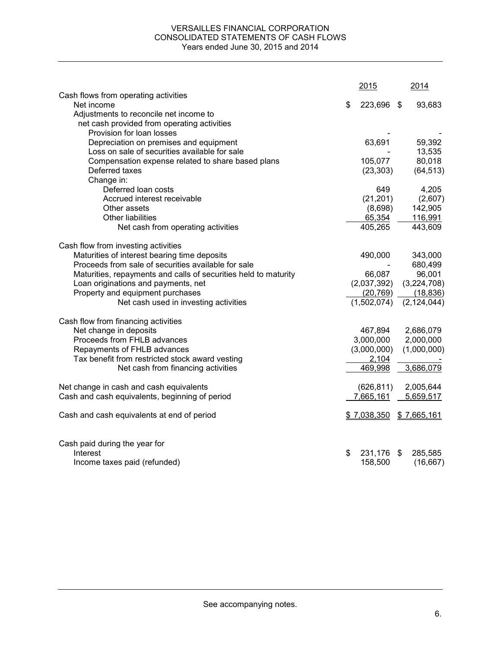## VERSAILLES FINANCIAL CORPORATION CONSOLIDATED STATEMENTS OF CASH FLOWS Years ended June 30, 2015 and 2014

|                                                                                              | 2015             | 2014          |
|----------------------------------------------------------------------------------------------|------------------|---------------|
| Cash flows from operating activities<br>Net income<br>Adjustments to reconcile net income to | \$<br>223,696 \$ | 93,683        |
| net cash provided from operating activities<br>Provision for loan losses                     |                  |               |
| Depreciation on premises and equipment                                                       | 63,691           | 59,392        |
| Loss on sale of securities available for sale                                                |                  | 13,535        |
| Compensation expense related to share based plans<br>Deferred taxes                          | 105,077          | 80,018        |
| Change in:                                                                                   | (23, 303)        | (64, 513)     |
| Deferred loan costs                                                                          | 649              | 4,205         |
| Accrued interest receivable                                                                  | (21, 201)        | (2,607)       |
| Other assets                                                                                 | (8,698)          | 142,905       |
| <b>Other liabilities</b>                                                                     | 65,354           | 116,991       |
| Net cash from operating activities                                                           | 405,265          | 443,609       |
| Cash flow from investing activities                                                          |                  |               |
| Maturities of interest bearing time deposits                                                 | 490,000          | 343,000       |
| Proceeds from sale of securities available for sale                                          |                  | 680,499       |
| Maturities, repayments and calls of securities held to maturity                              | 66,087           | 96,001        |
| Loan originations and payments, net                                                          | (2,037,392)      | (3,224,708)   |
| Property and equipment purchases                                                             | (20, 769)        | (18, 836)     |
| Net cash used in investing activities                                                        | (1,502,074)      | (2, 124, 044) |
| Cash flow from financing activities                                                          |                  |               |
| Net change in deposits                                                                       | 467,894          | 2,686,079     |
| Proceeds from FHLB advances                                                                  | 3,000,000        | 2,000,000     |
| Repayments of FHLB advances                                                                  | (3,000,000)      | (1,000,000)   |
| Tax benefit from restricted stock award vesting                                              | 2,104            |               |
| Net cash from financing activities                                                           | 469,998          | 3,686,079     |
| Net change in cash and cash equivalents                                                      | (626, 811)       | 2,005,644     |
| Cash and cash equivalents, beginning of period                                               | 7,665,161        | 5,659,517     |
| Cash and cash equivalents at end of period                                                   | \$7,038,350      | \$7,665,161   |
| Cash paid during the year for                                                                |                  |               |
| Interest                                                                                     | \$<br>231,176 \$ | 285,585       |
| Income taxes paid (refunded)                                                                 | 158,500          | (16, 667)     |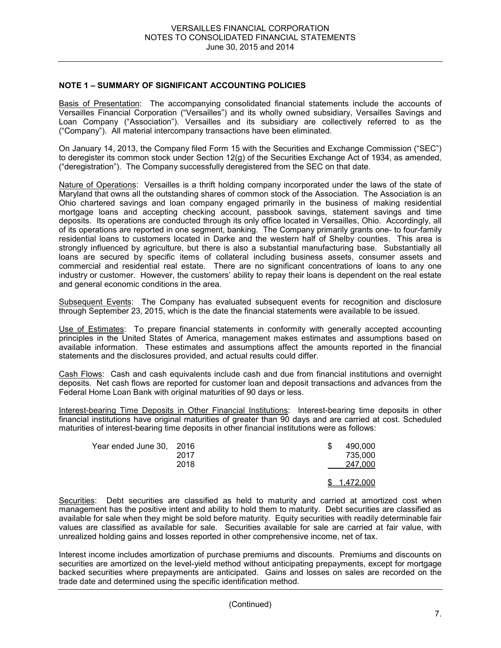### **NOTE 1 – SUMMARY OF SIGNIFICANT ACCOUNTING POLICIES**

Basis of Presentation: The accompanying consolidated financial statements include the accounts of Versailles Financial Corporation ("Versailles") and its wholly owned subsidiary, Versailles Savings and Loan Company ("Association"). Versailles and its subsidiary are collectively referred to as the ("Company"). All material intercompany transactions have been eliminated.

On January 14, 2013, the Company filed Form 15 with the Securities and Exchange Commission ("SEC") to deregister its common stock under Section 12(g) of the Securities Exchange Act of 1934, as amended, ("deregistration"). The Company successfully deregistered from the SEC on that date.

Nature of Operations: Versailles is a thrift holding company incorporated under the laws of the state of Maryland that owns all the outstanding shares of common stock of the Association. The Association is an Ohio chartered savings and loan company engaged primarily in the business of making residential mortgage loans and accepting checking account, passbook savings, statement savings and time deposits. Its operations are conducted through its only office located in Versailles, Ohio. Accordingly, all of its operations are reported in one segment, banking. The Company primarily grants one- to four-family residential loans to customers located in Darke and the western half of Shelby counties. This area is strongly influenced by agriculture, but there is also a substantial manufacturing base. Substantially all loans are secured by specific items of collateral including business assets, consumer assets and commercial and residential real estate. There are no significant concentrations of loans to any one industry or customer. However, the customers' ability to repay their loans is dependent on the real estate and general economic conditions in the area.

Subsequent Events: The Company has evaluated subsequent events for recognition and disclosure through September 23, 2015, which is the date the financial statements were available to be issued.

Use of Estimates: To prepare financial statements in conformity with generally accepted accounting principles in the United States of America, management makes estimates and assumptions based on available information. These estimates and assumptions affect the amounts reported in the financial statements and the disclosures provided, and actual results could differ.

Cash Flows: Cash and cash equivalents include cash and due from financial institutions and overnight deposits. Net cash flows are reported for customer loan and deposit transactions and advances from the Federal Home Loan Bank with original maturities of 90 days or less.

Interest-bearing Time Deposits in Other Financial Institutions: Interest-bearing time deposits in other financial institutions have original maturities of greater than 90 days and are carried at cost. Scheduled maturities of interest-bearing time deposits in other financial institutions were as follows:

| Year ended June 30, 2016 | 2017 | 490.000<br>735,000 |
|--------------------------|------|--------------------|
|                          | 2018 | 247,000            |
|                          |      | \$1,472,000        |

Securities: Debt securities are classified as held to maturity and carried at amortized cost when management has the positive intent and ability to hold them to maturity. Debt securities are classified as available for sale when they might be sold before maturity. Equity securities with readily determinable fair values are classified as available for sale. Securities available for sale are carried at fair value, with unrealized holding gains and losses reported in other comprehensive income, net of tax.

Interest income includes amortization of purchase premiums and discounts. Premiums and discounts on securities are amortized on the level-yield method without anticipating prepayments, except for mortgage backed securities where prepayments are anticipated. Gains and losses on sales are recorded on the trade date and determined using the specific identification method.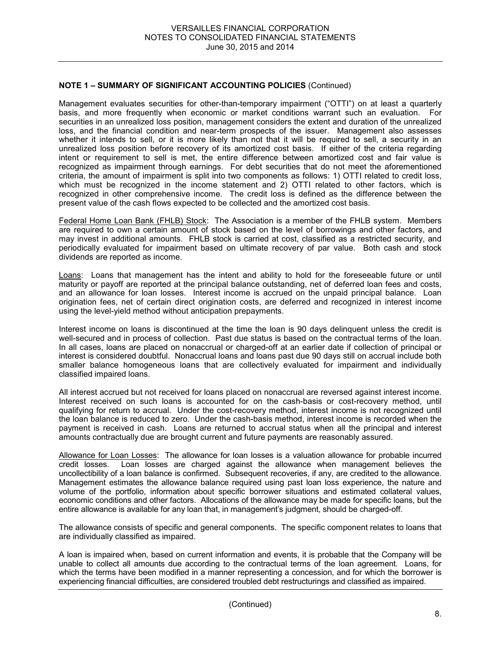# **NOTE 1 – SUMMARY OF SIGNIFICANT ACCOUNTING POLICIES** (Continued)

Management evaluates securities for other-than-temporary impairment ("OTTI") on at least a quarterly basis, and more frequently when economic or market conditions warrant such an evaluation. For securities in an unrealized loss position, management considers the extent and duration of the unrealized loss, and the financial condition and near-term prospects of the issuer. Management also assesses whether it intends to sell, or it is more likely than not that it will be required to sell, a security in an unrealized loss position before recovery of its amortized cost basis. If either of the criteria regarding intent or requirement to sell is met, the entire difference between amortized cost and fair value is recognized as impairment through earnings. For debt securities that do not meet the aforementioned criteria, the amount of impairment is split into two components as follows: 1) OTTI related to credit loss, which must be recognized in the income statement and 2) OTTI related to other factors, which is recognized in other comprehensive income. The credit loss is defined as the difference between the present value of the cash flows expected to be collected and the amortized cost basis.

Federal Home Loan Bank (FHLB) Stock: The Association is a member of the FHLB system. Members are required to own a certain amount of stock based on the level of borrowings and other factors, and may invest in additional amounts. FHLB stock is carried at cost, classified as a restricted security, and periodically evaluated for impairment based on ultimate recovery of par value. Both cash and stock dividends are reported as income.

Loans: Loans that management has the intent and ability to hold for the foreseeable future or until maturity or payoff are reported at the principal balance outstanding, net of deferred loan fees and costs, and an allowance for loan losses. Interest income is accrued on the unpaid principal balance. Loan origination fees, net of certain direct origination costs, are deferred and recognized in interest income using the level-yield method without anticipation prepayments.

Interest income on loans is discontinued at the time the loan is 90 days delinquent unless the credit is well-secured and in process of collection. Past due status is based on the contractual terms of the loan. In all cases, loans are placed on nonaccrual or charged-off at an earlier date if collection of principal or interest is considered doubtful. Nonaccrual loans and loans past due 90 days still on accrual include both smaller balance homogeneous loans that are collectively evaluated for impairment and individually classified impaired loans.

All interest accrued but not received for loans placed on nonaccrual are reversed against interest income. Interest received on such loans is accounted for on the cash-basis or cost-recovery method, until qualifying for return to accrual. Under the cost-recovery method, interest income is not recognized until the loan balance is reduced to zero. Under the cash-basis method, interest income is recorded when the payment is received in cash. Loans are returned to accrual status when all the principal and interest amounts contractually due are brought current and future payments are reasonably assured.

Allowance for Loan Losses: The allowance for loan losses is a valuation allowance for probable incurred credit losses. Loan losses are charged against the allowance when management believes the uncollectibility of a loan balance is confirmed. Subsequent recoveries, if any, are credited to the allowance. Management estimates the allowance balance required using past loan loss experience, the nature and volume of the portfolio, information about specific borrower situations and estimated collateral values, economic conditions and other factors. Allocations of the allowance may be made for specific loans, but the entire allowance is available for any loan that, in management's judgment, should be charged-off.

The allowance consists of specific and general components. The specific component relates to loans that are individually classified as impaired.

A loan is impaired when, based on current information and events, it is probable that the Company will be unable to collect all amounts due according to the contractual terms of the loan agreement. Loans, for which the terms have been modified in a manner representing a concession, and for which the borrower is experiencing financial difficulties, are considered troubled debt restructurings and classified as impaired.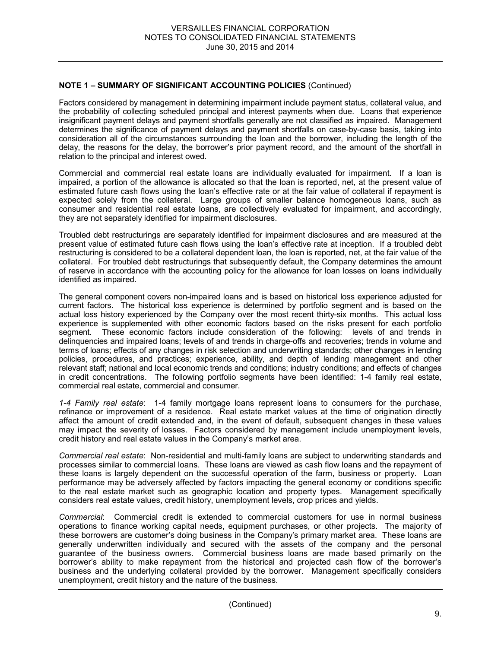# **NOTE 1 – SUMMARY OF SIGNIFICANT ACCOUNTING POLICIES** (Continued)

Factors considered by management in determining impairment include payment status, collateral value, and the probability of collecting scheduled principal and interest payments when due. Loans that experience insignificant payment delays and payment shortfalls generally are not classified as impaired. Management determines the significance of payment delays and payment shortfalls on case-by-case basis, taking into consideration all of the circumstances surrounding the loan and the borrower, including the length of the delay, the reasons for the delay, the borrower's prior payment record, and the amount of the shortfall in relation to the principal and interest owed.

Commercial and commercial real estate loans are individually evaluated for impairment. If a loan is impaired, a portion of the allowance is allocated so that the loan is reported, net, at the present value of estimated future cash flows using the loan's effective rate or at the fair value of collateral if repayment is expected solely from the collateral. Large groups of smaller balance homogeneous loans, such as consumer and residential real estate loans, are collectively evaluated for impairment, and accordingly, they are not separately identified for impairment disclosures.

Troubled debt restructurings are separately identified for impairment disclosures and are measured at the present value of estimated future cash flows using the loan's effective rate at inception. If a troubled debt restructuring is considered to be a collateral dependent loan, the loan is reported, net, at the fair value of the collateral. For troubled debt restructurings that subsequently default, the Company determines the amount of reserve in accordance with the accounting policy for the allowance for loan losses on loans individually identified as impaired.

The general component covers non-impaired loans and is based on historical loss experience adjusted for current factors. The historical loss experience is determined by portfolio segment and is based on the actual loss history experienced by the Company over the most recent thirty-six months. This actual loss experience is supplemented with other economic factors based on the risks present for each portfolio segment. These economic factors include consideration of the following: levels of and trends in segment. These economic factors include consideration of the following: delinquencies and impaired loans; levels of and trends in charge-offs and recoveries; trends in volume and terms of loans; effects of any changes in risk selection and underwriting standards; other changes in lending policies, procedures, and practices; experience, ability, and depth of lending management and other relevant staff; national and local economic trends and conditions; industry conditions; and effects of changes in credit concentrations. The following portfolio segments have been identified: 1-4 family real estate, commercial real estate, commercial and consumer.

*1-4 Family real estate*: 1-4 family mortgage loans represent loans to consumers for the purchase, refinance or improvement of a residence. Real estate market values at the time of origination directly affect the amount of credit extended and, in the event of default, subsequent changes in these values may impact the severity of losses. Factors considered by management include unemployment levels, credit history and real estate values in the Company's market area.

*Commercial real estate*: Non-residential and multi-family loans are subject to underwriting standards and processes similar to commercial loans. These loans are viewed as cash flow loans and the repayment of these loans is largely dependent on the successful operation of the farm, business or property. Loan performance may be adversely affected by factors impacting the general economy or conditions specific to the real estate market such as geographic location and property types. Management specifically considers real estate values, credit history, unemployment levels, crop prices and yields.

*Commercial*: Commercial credit is extended to commercial customers for use in normal business operations to finance working capital needs, equipment purchases, or other projects. The majority of these borrowers are customer's doing business in the Company's primary market area. These loans are generally underwritten individually and secured with the assets of the company and the personal guarantee of the business owners. Commercial business loans are made based primarily on the borrower's ability to make repayment from the historical and projected cash flow of the borrower's business and the underlying collateral provided by the borrower. Management specifically considers unemployment, credit history and the nature of the business.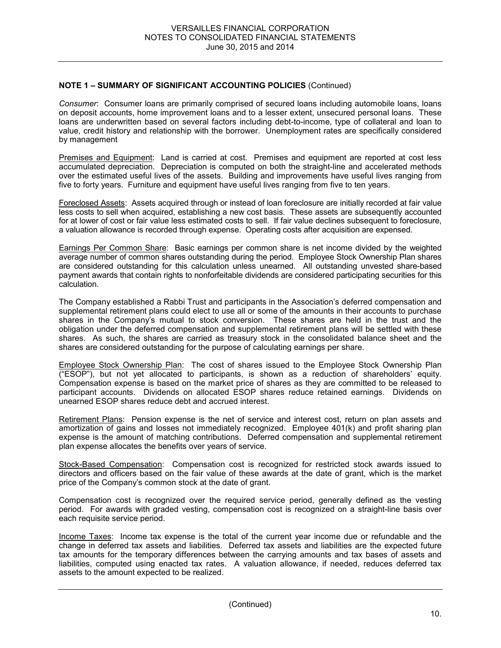# **NOTE 1 – SUMMARY OF SIGNIFICANT ACCOUNTING POLICIES** (Continued)

*Consumer*: Consumer loans are primarily comprised of secured loans including automobile loans, loans on deposit accounts, home improvement loans and to a lesser extent, unsecured personal loans. These loans are underwritten based on several factors including debt-to-income, type of collateral and loan to value, credit history and relationship with the borrower. Unemployment rates are specifically considered by management

Premises and Equipment: Land is carried at cost. Premises and equipment are reported at cost less accumulated depreciation. Depreciation is computed on both the straight-line and accelerated methods over the estimated useful lives of the assets. Building and improvements have useful lives ranging from five to forty years. Furniture and equipment have useful lives ranging from five to ten years.

Foreclosed Assets: Assets acquired through or instead of loan foreclosure are initially recorded at fair value less costs to sell when acquired, establishing a new cost basis. These assets are subsequently accounted for at lower of cost or fair value less estimated costs to sell. If fair value declines subsequent to foreclosure, a valuation allowance is recorded through expense. Operating costs after acquisition are expensed.

Earnings Per Common Share: Basic earnings per common share is net income divided by the weighted average number of common shares outstanding during the period. Employee Stock Ownership Plan shares are considered outstanding for this calculation unless unearned. All outstanding unvested share-based payment awards that contain rights to nonforfeitable dividends are considered participating securities for this calculation.

The Company established a Rabbi Trust and participants in the Association's deferred compensation and supplemental retirement plans could elect to use all or some of the amounts in their accounts to purchase shares in the Company's mutual to stock conversion. These shares are held in the trust and the obligation under the deferred compensation and supplemental retirement plans will be settled with these shares. As such, the shares are carried as treasury stock in the consolidated balance sheet and the shares are considered outstanding for the purpose of calculating earnings per share.

Employee Stock Ownership Plan: The cost of shares issued to the Employee Stock Ownership Plan ("ESOP"), but not yet allocated to participants, is shown as a reduction of shareholders' equity. Compensation expense is based on the market price of shares as they are committed to be released to participant accounts. Dividends on allocated ESOP shares reduce retained earnings. Dividends on unearned ESOP shares reduce debt and accrued interest.

Retirement Plans: Pension expense is the net of service and interest cost, return on plan assets and amortization of gains and losses not immediately recognized. Employee 401(k) and profit sharing plan expense is the amount of matching contributions. Deferred compensation and supplemental retirement plan expense allocates the benefits over years of service.

Stock-Based Compensation: Compensation cost is recognized for restricted stock awards issued to directors and officers based on the fair value of these awards at the date of grant, which is the market price of the Company's common stock at the date of grant.

Compensation cost is recognized over the required service period, generally defined as the vesting period. For awards with graded vesting, compensation cost is recognized on a straight-line basis over each requisite service period.

Income Taxes: Income tax expense is the total of the current year income due or refundable and the change in deferred tax assets and liabilities. Deferred tax assets and liabilities are the expected future tax amounts for the temporary differences between the carrying amounts and tax bases of assets and liabilities, computed using enacted tax rates. A valuation allowance, if needed, reduces deferred tax assets to the amount expected to be realized.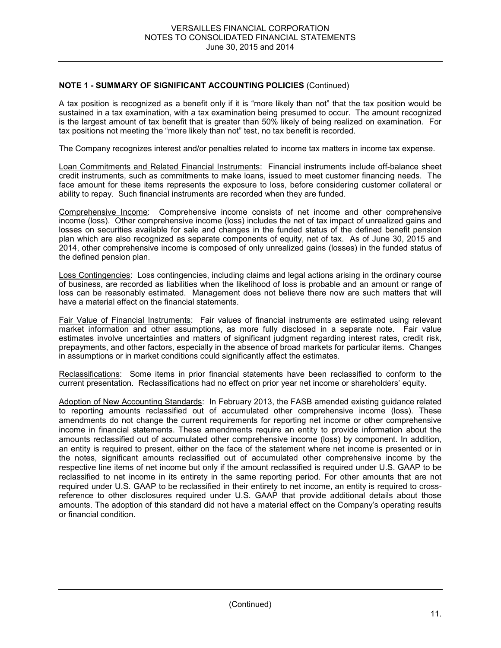# **NOTE 1 - SUMMARY OF SIGNIFICANT ACCOUNTING POLICIES** (Continued)

A tax position is recognized as a benefit only if it is "more likely than not" that the tax position would be sustained in a tax examination, with a tax examination being presumed to occur. The amount recognized is the largest amount of tax benefit that is greater than 50% likely of being realized on examination. For tax positions not meeting the "more likely than not" test, no tax benefit is recorded.

The Company recognizes interest and/or penalties related to income tax matters in income tax expense.

Loan Commitments and Related Financial Instruments: Financial instruments include off-balance sheet credit instruments, such as commitments to make loans, issued to meet customer financing needs. The face amount for these items represents the exposure to loss, before considering customer collateral or ability to repay. Such financial instruments are recorded when they are funded.

Comprehensive Income: Comprehensive income consists of net income and other comprehensive income (loss). Other comprehensive income (loss) includes the net of tax impact of unrealized gains and losses on securities available for sale and changes in the funded status of the defined benefit pension plan which are also recognized as separate components of equity, net of tax. As of June 30, 2015 and 2014, other comprehensive income is composed of only unrealized gains (losses) in the funded status of the defined pension plan.

Loss Contingencies: Loss contingencies, including claims and legal actions arising in the ordinary course of business, are recorded as liabilities when the likelihood of loss is probable and an amount or range of loss can be reasonably estimated. Management does not believe there now are such matters that will have a material effect on the financial statements.

Fair Value of Financial Instruments: Fair values of financial instruments are estimated using relevant market information and other assumptions, as more fully disclosed in a separate note. Fair value estimates involve uncertainties and matters of significant judgment regarding interest rates, credit risk, prepayments, and other factors, especially in the absence of broad markets for particular items. Changes in assumptions or in market conditions could significantly affect the estimates.

Reclassifications: Some items in prior financial statements have been reclassified to conform to the current presentation. Reclassifications had no effect on prior year net income or shareholders' equity.

Adoption of New Accounting Standards: In February 2013, the FASB amended existing guidance related to reporting amounts reclassified out of accumulated other comprehensive income (loss). These amendments do not change the current requirements for reporting net income or other comprehensive income in financial statements. These amendments require an entity to provide information about the amounts reclassified out of accumulated other comprehensive income (loss) by component. In addition, an entity is required to present, either on the face of the statement where net income is presented or in the notes, significant amounts reclassified out of accumulated other comprehensive income by the respective line items of net income but only if the amount reclassified is required under U.S. GAAP to be reclassified to net income in its entirety in the same reporting period. For other amounts that are not required under U.S. GAAP to be reclassified in their entirety to net income, an entity is required to crossreference to other disclosures required under U.S. GAAP that provide additional details about those amounts. The adoption of this standard did not have a material effect on the Company's operating results or financial condition.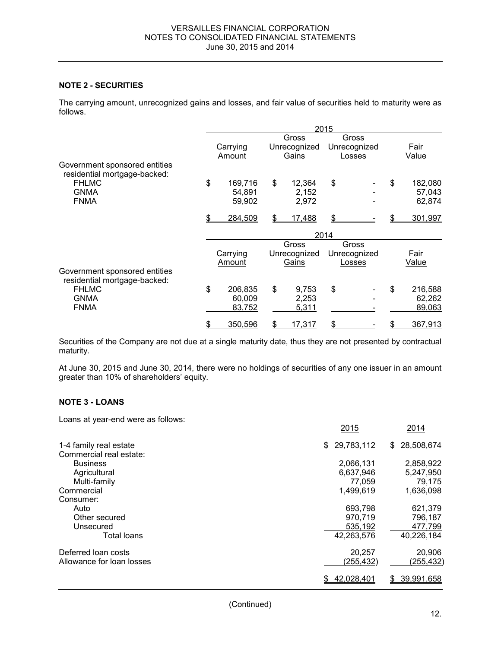# **NOTE 2 - SECURITIES**

The carrying amount, unrecognized gains and losses, and fair value of securities held to maturity were as follows.

|                                                               |                | 2015     |    |              |      |              |    |         |  |
|---------------------------------------------------------------|----------------|----------|----|--------------|------|--------------|----|---------|--|
|                                                               |                |          |    | Gross        |      | Gross        |    |         |  |
|                                                               |                | Carrying |    | Unrecognized |      | Unrecognized |    | Fair    |  |
|                                                               |                | Amount   |    | Gains        |      | Losses       |    | Value   |  |
| Government sponsored entities<br>residential mortgage-backed: |                |          |    |              |      |              |    |         |  |
| <b>FHLMC</b>                                                  | \$             | 169,716  | \$ | 12,364       | \$   |              | \$ | 182,080 |  |
| <b>GNMA</b>                                                   |                | 54,891   |    | 2,152        |      |              |    | 57,043  |  |
| <b>FNMA</b>                                                   |                | 59,902   |    | 2,972        |      |              |    | 62,874  |  |
|                                                               |                | 284,509  | \$ | 17,488       | \$   |              |    | 301,997 |  |
|                                                               |                |          |    |              | 2014 |              |    |         |  |
|                                                               |                |          |    | Gross        |      | Gross        |    |         |  |
|                                                               |                | Carrying |    | Unrecognized |      | Unrecognized |    | Fair    |  |
|                                                               |                | Amount   |    | Gains        |      | Losses       |    | Value   |  |
| Government sponsored entities<br>residential mortgage-backed: |                |          |    |              |      |              |    |         |  |
| <b>FHLMC</b>                                                  | $\mathfrak{S}$ | 206,835  | \$ | 9,753        | \$   |              | \$ | 216,588 |  |
| <b>GNMA</b>                                                   |                | 60,009   |    | 2,253        |      |              |    | 62,262  |  |
| <b>FNMA</b>                                                   |                | 83,752   |    | 5,311        |      |              |    | 89,063  |  |
|                                                               |                | 350,596  |    | 17,317       | \$   |              |    | 367,913 |  |

Securities of the Company are not due at a single maturity date, thus they are not presented by contractual maturity.

At June 30, 2015 and June 30, 2014, there were no holdings of securities of any one issuer in an amount greater than 10% of shareholders' equity.

# **NOTE 3 - LOANS**

Loans at year-end were as follows:

|                           | 2015             | 2014              |
|---------------------------|------------------|-------------------|
| 1-4 family real estate    | 29,783,112<br>\$ | \$ 28,508,674     |
| Commercial real estate:   |                  |                   |
| <b>Business</b>           | 2,066,131        | 2,858,922         |
| Agricultural              | 6,637,946        | 5,247,950         |
| Multi-family              | 77,059           | 79,175            |
| Commercial                | 1,499,619        | 1,636,098         |
| Consumer:                 |                  |                   |
| Auto                      | 693,798          | 621,379           |
| Other secured             | 970,719          | 796,187           |
| Unsecured                 | 535,192          | 477,799           |
| Total loans               | 42,263,576       | 40,226,184        |
| Deferred loan costs       | 20.257           | 20,906            |
| Allowance for loan losses | (255,432)        | (255,432)         |
|                           | 42,028,401       | 39,991,658<br>SS. |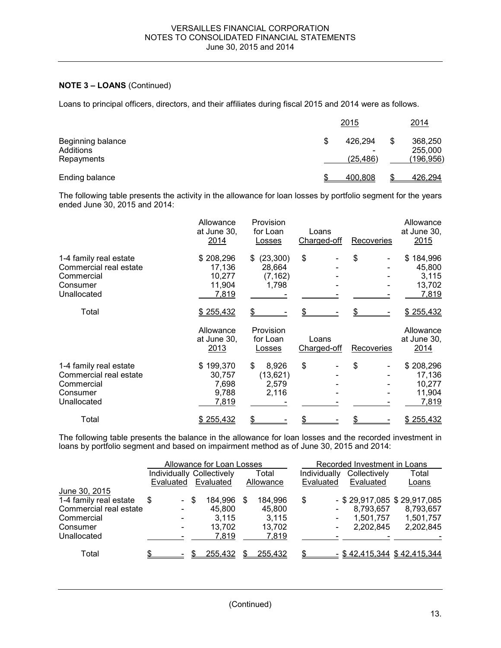# **NOTE 3 – LOANS** (Continued)

Loans to principal officers, directors, and their affiliates during fiscal 2015 and 2014 were as follows.

|                                              |   | 2015                 | 2014                            |
|----------------------------------------------|---|----------------------|---------------------------------|
| Beginning balance<br>Additions<br>Repayments | S | 426.294<br>(25, 486) | 368,250<br>255,000<br>(196,956) |
| Ending balance                               |   | 400.808              | <u>426,294</u>                  |

The following table presents the activity in the allowance for loan losses by portfolio segment for the years ended June 30, 2015 and 2014:

|                                                                                           | Allowance<br>at June 30,<br>2014                 | Provision<br>for Loan<br>Losses                 | Loans<br>Charged-off | Recoveries | Allowance<br>at June 30,<br>2015                 |
|-------------------------------------------------------------------------------------------|--------------------------------------------------|-------------------------------------------------|----------------------|------------|--------------------------------------------------|
| 1-4 family real estate<br>Commercial real estate<br>Commercial<br>Consumer<br>Unallocated | \$208,296<br>17,136<br>10,277<br>11,904<br>7,819 | (23, 300)<br>\$.<br>28,664<br>(7, 162)<br>1,798 | \$                   | \$         | \$184,996<br>45,800<br>3,115<br>13,702<br>7,819  |
| Total                                                                                     | \$255,432<br>Allowance<br>at June 30,<br>2013    | Provision<br>for Loan<br>Losses                 | Loans<br>Charged-off | Recoveries | \$255,432<br>Allowance<br>at June 30,<br>2014    |
| 1-4 family real estate<br>Commercial real estate<br>Commercial<br>Consumer<br>Unallocated | \$199,370<br>30,757<br>7,698<br>9,788<br>7,819   | \$<br>8,926<br>(13,621)<br>2,579<br>2,116       | \$                   | \$         | \$208,296<br>17,136<br>10,277<br>11,904<br>7,819 |
| Total                                                                                     | \$255,432                                        |                                                 |                      |            | \$255,432                                        |

The following table presents the balance in the allowance for loan losses and the recorded investment in loans by portfolio segment and based on impairment method as of June 30, 2015 and 2014:

|                        |           | Allowance for Loan Losses |     |                                  |     |           |              |   | Recorded Investment in Loans |                               |
|------------------------|-----------|---------------------------|-----|----------------------------------|-----|-----------|--------------|---|------------------------------|-------------------------------|
|                        |           |                           |     | <b>Individually Collectively</b> |     | Total     | Individually |   | Collectively                 | Total                         |
|                        | Evaluated |                           |     | Evaluated                        |     | Allowance | Evaluated    |   | Evaluated                    | Loans                         |
| June 30, 2015          |           |                           |     |                                  |     |           |              |   |                              |                               |
| 1-4 family real estate | S         | $\sim$                    | -\$ | 184,996                          | S   | 184,996   | \$           |   |                              | - \$29,917,085 \$29,917,085   |
| Commercial real estate |           | $\overline{\phantom{a}}$  |     | 45.800                           |     | 45,800    |              |   | 8,793,657                    | 8,793,657                     |
| Commercial             |           | ۰                         |     | 3.115                            |     | 3.115     |              | - | 1,501,757                    | 1,501,757                     |
| Consumer               |           |                           |     | 13.702                           |     | 13,702    |              | - | 2,202,845                    | 2,202,845                     |
| Unallocated            |           |                           |     | 7,819                            |     | 7,819     |              |   |                              |                               |
| Total                  |           |                           |     | 255,432                          | \$. | 255.432   | \$.          |   |                              | $-$ \$42,415,344 \$42,415,344 |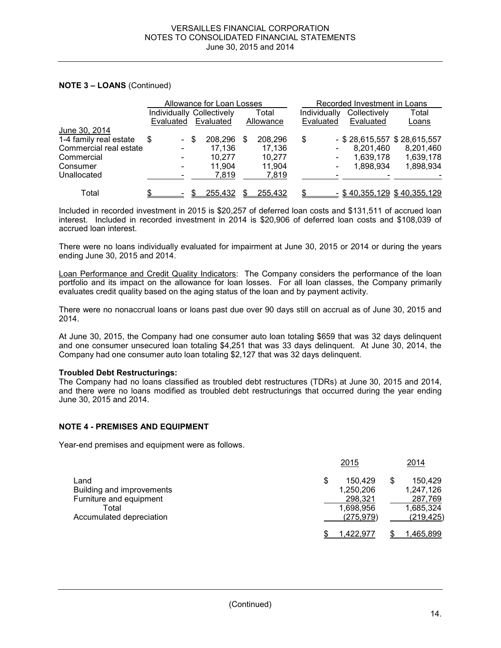# **NOTE 3 – LOANS** (Continued)

|                        |     |           |    | Allowance for Loan Losses |   |           |              | Recorded Investment in Loans |                                    |
|------------------------|-----|-----------|----|---------------------------|---|-----------|--------------|------------------------------|------------------------------------|
|                        |     |           |    | Individually Collectively |   | Total     | Individually | Collectively                 | Total                              |
|                        |     | Evaluated |    | Evaluated                 |   | Allowance | Evaluated    | Evaluated                    | Loans                              |
| June 30, 2014          |     |           |    |                           |   |           |              |                              |                                    |
| 1-4 family real estate | \$. | $\sim$    | -S | 208,296                   | S | 208,296   | \$           |                              | $-$ \$28,615,557 \$28,615,557      |
| Commercial real estate |     |           |    | 17.136                    |   | 17.136    |              | 8,201,460                    | 8,201,460                          |
| Commercial             |     |           |    | 10.277                    |   | 10.277    |              | 1,639,178                    | 1,639,178                          |
| Consumer               |     |           |    | 11.904                    |   | 11.904    |              | 1,898,934                    | 1,898,934                          |
| Unallocated            |     |           |    | 7,819                     |   | 7,819     |              |                              |                                    |
| Total                  |     |           |    | 255.432                   |   | 255.432   | \$           |                              | <u>- \$40,355,129 \$40,355,129</u> |

Included in recorded investment in 2015 is \$20,257 of deferred loan costs and \$131,511 of accrued loan interest. Included in recorded investment in 2014 is \$20,906 of deferred loan costs and \$108,039 of accrued loan interest.

There were no loans individually evaluated for impairment at June 30, 2015 or 2014 or during the years ending June 30, 2015 and 2014.

Loan Performance and Credit Quality Indicators: The Company considers the performance of the loan portfolio and its impact on the allowance for loan losses. For all loan classes, the Company primarily evaluates credit quality based on the aging status of the loan and by payment activity.

There were no nonaccrual loans or loans past due over 90 days still on accrual as of June 30, 2015 and 2014.

At June 30, 2015, the Company had one consumer auto loan totaling \$659 that was 32 days delinquent and one consumer unsecured loan totaling \$4,251 that was 33 days delinquent. At June 30, 2014, the Company had one consumer auto loan totaling \$2,127 that was 32 days delinquent.

#### **Troubled Debt Restructurings:**

The Company had no loans classified as troubled debt restructures (TDRs) at June 30, 2015 and 2014, and there were no loans modified as troubled debt restructurings that occurred during the year ending June 30, 2015 and 2014.

#### **NOTE 4 - PREMISES AND EQUIPMENT**

Year-end premises and equipment were as follows.

|                                                                       | 2015                                         |   | 2014                                         |
|-----------------------------------------------------------------------|----------------------------------------------|---|----------------------------------------------|
| Land<br>Building and improvements<br>Furniture and equipment<br>Total | 150.429<br>1,250,206<br>298.321<br>1,698,956 | S | 150,429<br>1,247,126<br>287,769<br>1,685,324 |
| Accumulated depreciation                                              | (275, 979)                                   |   | (219, 425)                                   |
|                                                                       | 1.422.977                                    |   | <u>1,465,899</u>                             |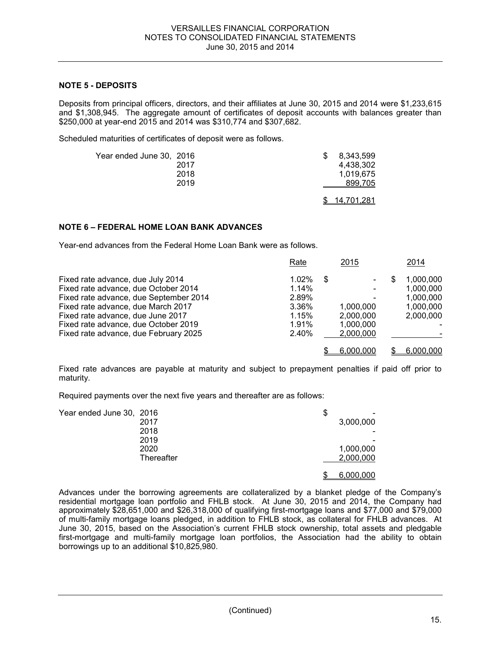# **NOTE 5 - DEPOSITS**

Deposits from principal officers, directors, and their affiliates at June 30, 2015 and 2014 were \$1,233,615 and \$1,308,945. The aggregate amount of certificates of deposit accounts with balances greater than \$250,000 at year-end 2015 and 2014 was \$310,774 and \$307,682.

Scheduled maturities of certificates of deposit were as follows.

| Year ended June 30, 2016 | 2017<br>2018<br>2019 | 8.343.599<br>4.438.302<br>1,019,675<br>899,705 |
|--------------------------|----------------------|------------------------------------------------|
|                          |                      | 14.701.281                                     |

# **NOTE 6 – FEDERAL HOME LOAN BANK ADVANCES**

Year-end advances from the Federal Home Loan Bank were as follows.

|                                                                                                                                                           | Rate                             |   | 2015                                | 2014                                |
|-----------------------------------------------------------------------------------------------------------------------------------------------------------|----------------------------------|---|-------------------------------------|-------------------------------------|
| Fixed rate advance, due July 2014<br>Fixed rate advance, due October 2014                                                                                 | 1.02%<br>1.14%                   | S |                                     | 1.000.000<br>1,000,000              |
| Fixed rate advance, due September 2014<br>Fixed rate advance, due March 2017<br>Fixed rate advance, due June 2017<br>Fixed rate advance, due October 2019 | 2.89%<br>3.36%<br>1.15%<br>1.91% |   | 1.000.000<br>2,000,000<br>1.000.000 | 1.000.000<br>1.000.000<br>2,000,000 |
| Fixed rate advance, due February 2025                                                                                                                     | 2.40%                            |   | 2,000,000<br>6,000,000              | 6,000,000                           |

Fixed rate advances are payable at maturity and subject to prepayment penalties if paid off prior to maturity.

Required payments over the next five years and thereafter are as follows:

| Year ended June 30, 2016 |            | \$        |
|--------------------------|------------|-----------|
|                          | 2017       | 3,000,000 |
|                          | 2018       |           |
|                          | 2019       |           |
|                          | 2020       | 1,000,000 |
|                          | Thereafter | 2,000,000 |
|                          |            | 6,000,000 |

Advances under the borrowing agreements are collateralized by a blanket pledge of the Company's residential mortgage loan portfolio and FHLB stock. At June 30, 2015 and 2014, the Company had approximately \$28,651,000 and \$26,318,000 of qualifying first-mortgage loans and \$77,000 and \$79,000 of multi-family mortgage loans pledged, in addition to FHLB stock, as collateral for FHLB advances. At June 30, 2015, based on the Association's current FHLB stock ownership, total assets and pledgable first-mortgage and multi-family mortgage loan portfolios, the Association had the ability to obtain borrowings up to an additional \$10,825,980.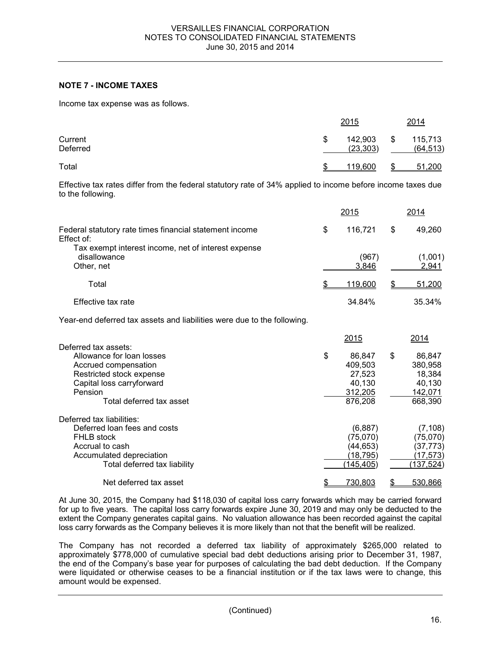# **NOTE 7 - INCOME TAXES**

Income tax expense was as follows.

|                     | 2015                 | 2014                       |
|---------------------|----------------------|----------------------------|
| Current<br>Deferred | 142,903<br>(23, 303) | \$<br>115,713<br>(64, 513) |
| Total               | 119,600              | \$<br>51,200               |

Effective tax rates differ from the federal statutory rate of 34% applied to income before income taxes due to the following.

|                                                                                   | 2015           | 2014             |
|-----------------------------------------------------------------------------------|----------------|------------------|
| Federal statutory rate times financial statement income<br>Effect of:             | \$<br>116.721  | \$<br>49,260     |
| Tax exempt interest income, net of interest expense<br>disallowance<br>Other, net | (967)<br>3,846 | (1,001)<br>2,941 |
| Total                                                                             | <u>119,600</u> | 51,200           |
| Effective tax rate                                                                | 34.84%         | 35.34%           |
|                                                                                   |                |                  |

Year-end deferred tax assets and liabilities were due to the following.

|                              | 2015          | 2014         |
|------------------------------|---------------|--------------|
| Deferred tax assets:         |               |              |
| Allowance for loan losses    | \$<br>86.847  | \$<br>86,847 |
| Accrued compensation         | 409,503       | 380,958      |
| Restricted stock expense     | 27,523        | 18,384       |
| Capital loss carryforward    | 40,130        | 40,130       |
| Pension                      | 312,205       | 142,071      |
| Total deferred tax asset     | 876.208       | 668,390      |
| Deferred tax liabilities:    |               |              |
| Deferred loan fees and costs | (6,887)       | (7, 108)     |
| <b>FHLB</b> stock            | (75,070)      | (75,070)     |
| Accrual to cash              | (44, 653)     | (37, 773)    |
| Accumulated depreciation     | (18,795)      | (17, 573)    |
| Total deferred tax liability | (145,405)     | (137, 524)   |
| Net deferred tax asset       | \$<br>730.803 | 530.866      |

At June 30, 2015, the Company had \$118,030 of capital loss carry forwards which may be carried forward for up to five years. The capital loss carry forwards expire June 30, 2019 and may only be deducted to the extent the Company generates capital gains. No valuation allowance has been recorded against the capital loss carry forwards as the Company believes it is more likely than not that the benefit will be realized.

The Company has not recorded a deferred tax liability of approximately \$265,000 related to approximately \$778,000 of cumulative special bad debt deductions arising prior to December 31, 1987, the end of the Company's base year for purposes of calculating the bad debt deduction. If the Company were liquidated or otherwise ceases to be a financial institution or if the tax laws were to change, this amount would be expensed.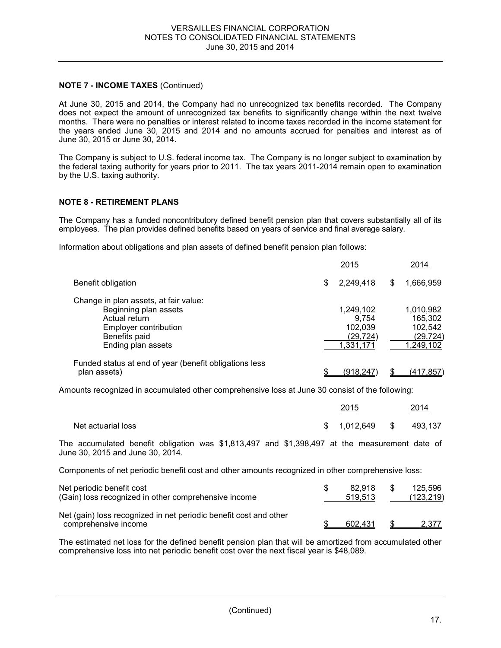# **NOTE 7 - INCOME TAXES** (Continued)

At June 30, 2015 and 2014, the Company had no unrecognized tax benefits recorded. The Company does not expect the amount of unrecognized tax benefits to significantly change within the next twelve months. There were no penalties or interest related to income taxes recorded in the income statement for the years ended June 30, 2015 and 2014 and no amounts accrued for penalties and interest as of June 30, 2015 or June 30, 2014.

The Company is subject to U.S. federal income tax. The Company is no longer subject to examination by the federal taxing authority for years prior to 2011. The tax years 2011-2014 remain open to examination by the U.S. taxing authority.

# **NOTE 8 - RETIREMENT PLANS**

The Company has a funded noncontributory defined benefit pension plan that covers substantially all of its employees. The plan provides defined benefits based on years of service and final average salary.

Information about obligations and plan assets of defined benefit pension plan follows:

|                                                                                                                                                 |   | 2015                                                          | 2014                                                      |
|-------------------------------------------------------------------------------------------------------------------------------------------------|---|---------------------------------------------------------------|-----------------------------------------------------------|
| Benefit obligation                                                                                                                              | S | 2,249,418                                                     | \$<br>1,666,959                                           |
| Change in plan assets, at fair value:<br>Beginning plan assets<br>Actual return<br>Employer contribution<br>Benefits paid<br>Ending plan assets |   | 1,249,102<br>9.754<br>102,039<br><u>(29,724)</u><br>1,331,171 | 1,010,982<br>165,302<br>102,542<br>(29, 724)<br>1,249,102 |
| Funded status at end of year (benefit obligations less<br>plan assets)                                                                          |   | (918.247                                                      | (417,857)                                                 |

Amounts recognized in accumulated other comprehensive loss at June 30 consist of the following:

|                                                                                                                                     |     | 2015              | 2014                        |
|-------------------------------------------------------------------------------------------------------------------------------------|-----|-------------------|-----------------------------|
| Net actuarial loss                                                                                                                  | \$. | 1,012,649         | \$<br>493.137               |
| The accumulated benefit obligation was $$1,813,497$ and $$1,398,497$ at the measurement date of<br>June 30, 2015 and June 30, 2014. |     |                   |                             |
| Components of net periodic benefit cost and other amounts recognized in other comprehensive loss:                                   |     |                   |                             |
| Net periodic benefit cost<br>(Gain) loss recognized in other comprehensive income                                                   | \$  | 82.918<br>519,513 | \$<br>125,596<br>(123, 219) |
| Net (gain) loss recognized in net periodic benefit cost and other                                                                   |     |                   |                             |

The estimated net loss for the defined benefit pension plan that will be amortized from accumulated other comprehensive loss into net periodic benefit cost over the next fiscal year is \$48,089.

comprehensive income  $\qquad \qquad \qquad$  8 602,431 \$ 2,377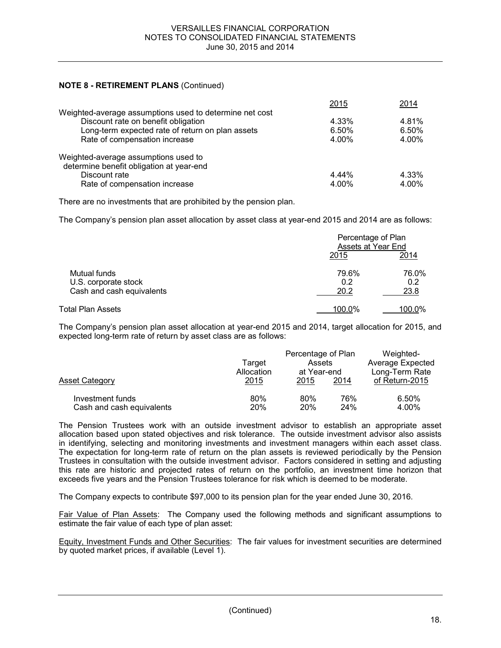# **NOTE 8 - RETIREMENT PLANS** (Continued)

|                                                         | 2015  | 2014  |
|---------------------------------------------------------|-------|-------|
| Weighted-average assumptions used to determine net cost |       |       |
| Discount rate on benefit obligation                     | 4.33% | 4.81% |
| Long-term expected rate of return on plan assets        | 6.50% | 6.50% |
| Rate of compensation increase                           | 4.00% | 4.00% |
| Weighted-average assumptions used to                    |       |       |
| determine benefit obligation at year-end                |       |       |
| Discount rate                                           | 4.44% | 4.33% |
| Rate of compensation increase                           | 4.00% | 4.00% |

There are no investments that are prohibited by the pension plan.

The Company's pension plan asset allocation by asset class at year-end 2015 and 2014 are as follows:

|                           | Percentage of Plan<br>Assets at Year End |               |
|---------------------------|------------------------------------------|---------------|
|                           | 2015                                     | 2014          |
| Mutual funds              | 79.6%                                    | 76.0%         |
| U.S. corporate stock      | 0.2                                      | 0.2           |
| Cash and cash equivalents | 20.2                                     | 23.8          |
| Total Plan Assets         | <u>100.0</u> %                           | <u>100.0%</u> |

The Company's pension plan asset allocation at year-end 2015 and 2014, target allocation for 2015, and expected long-term rate of return by asset class are as follows:

|                                               | Target<br>Allocation | Percentage of Plan<br>Assets<br>at Year-end |            | Weighted-<br><b>Average Expected</b><br>Long-Term Rate |  |  |
|-----------------------------------------------|----------------------|---------------------------------------------|------------|--------------------------------------------------------|--|--|
| Asset Category                                | 2015                 | 2015                                        | 2014       | of Return-2015                                         |  |  |
| Investment funds<br>Cash and cash equivalents | 80%<br>20%           | 80%<br><b>20%</b>                           | 76%<br>24% | 6.50%<br>4.00%                                         |  |  |

The Pension Trustees work with an outside investment advisor to establish an appropriate asset allocation based upon stated objectives and risk tolerance. The outside investment advisor also assists in identifying, selecting and monitoring investments and investment managers within each asset class. The expectation for long-term rate of return on the plan assets is reviewed periodically by the Pension Trustees in consultation with the outside investment advisor. Factors considered in setting and adjusting this rate are historic and projected rates of return on the portfolio, an investment time horizon that exceeds five years and the Pension Trustees tolerance for risk which is deemed to be moderate.

The Company expects to contribute \$97,000 to its pension plan for the year ended June 30, 2016.

Fair Value of Plan Assets: The Company used the following methods and significant assumptions to estimate the fair value of each type of plan asset:

Equity, Investment Funds and Other Securities: The fair values for investment securities are determined by quoted market prices, if available (Level 1).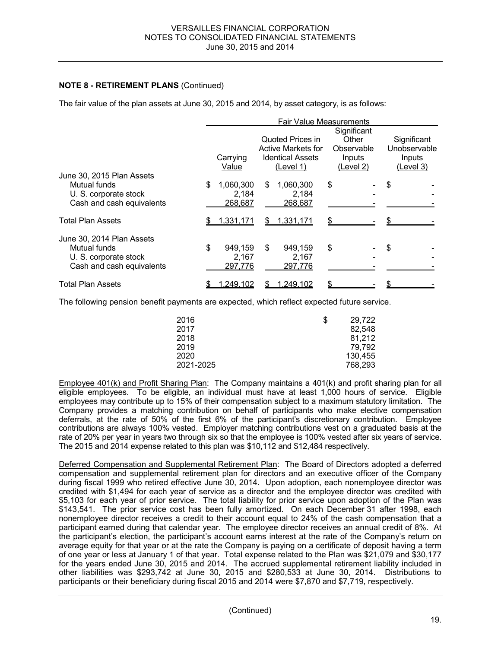# **NOTE 8 - RETIREMENT PLANS** (Continued)

The fair value of the plan assets at June 30, 2015 and 2014, by asset category, is as follows:

|                           |                 |                           | <b>Fair Value Measurements</b> |              |  |  |
|---------------------------|-----------------|---------------------------|--------------------------------|--------------|--|--|
|                           | Significant     |                           |                                |              |  |  |
|                           |                 | Quoted Prices in          | Other                          | Significant  |  |  |
|                           |                 | <b>Active Markets for</b> | Observable                     | Unobservable |  |  |
|                           | Carrying        | <b>Identical Assets</b>   | Inputs                         | Inputs       |  |  |
|                           | Value           | (Level 1)                 | (Level 2)                      | (Level 3)    |  |  |
| June 30, 2015 Plan Assets |                 |                           |                                |              |  |  |
| Mutual funds              | \$<br>1,060,300 | 1,060,300<br>\$.          | \$                             | \$           |  |  |
| U. S. corporate stock     | 2,184           | 2,184                     |                                |              |  |  |
| Cash and cash equivalents | 268,687         | 268,687                   |                                |              |  |  |
| <b>Total Plan Assets</b>  | 1,331,171       | 1,331,171<br>\$           |                                |              |  |  |
| June 30, 2014 Plan Assets |                 |                           |                                |              |  |  |
| Mutual funds              | \$<br>949,159   | 949,159<br>\$             | \$                             | S            |  |  |
| U. S. corporate stock     | 2,167           | 2,167                     |                                |              |  |  |
| Cash and cash equivalents | 297,776         | 297,776                   |                                |              |  |  |
| <b>Total Plan Assets</b>  | ,249,102        | .249,102                  |                                |              |  |  |

The following pension benefit payments are expected, which reflect expected future service.

| 2016      | \$<br>29.722 |
|-----------|--------------|
| 2017      | 82.548       |
| 2018      | 81.212       |
| 2019      | 79.792       |
| 2020      | 130.455      |
| 2021-2025 | 768.293      |
|           |              |

Employee 401(k) and Profit Sharing Plan: The Company maintains a 401(k) and profit sharing plan for all eligible employees. To be eligible, an individual must have at least 1,000 hours of service. Eligible employees may contribute up to 15% of their compensation subject to a maximum statutory limitation. The Company provides a matching contribution on behalf of participants who make elective compensation deferrals, at the rate of 50% of the first 6% of the participant's discretionary contribution. Employee contributions are always 100% vested. Employer matching contributions vest on a graduated basis at the rate of 20% per year in years two through six so that the employee is 100% vested after six years of service. The 2015 and 2014 expense related to this plan was \$10,112 and \$12,484 respectively.

Deferred Compensation and Supplemental Retirement Plan: The Board of Directors adopted a deferred compensation and supplemental retirement plan for directors and an executive officer of the Company during fiscal 1999 who retired effective June 30, 2014. Upon adoption, each nonemployee director was credited with \$1,494 for each year of service as a director and the employee director was credited with \$5,103 for each year of prior service. The total liability for prior service upon adoption of the Plan was \$143,541. The prior service cost has been fully amortized. On each December 31 after 1998, each nonemployee director receives a credit to their account equal to 24% of the cash compensation that a participant earned during that calendar year. The employee director receives an annual credit of 8%. At the participant's election, the participant's account earns interest at the rate of the Company's return on average equity for that year or at the rate the Company is paying on a certificate of deposit having a term of one year or less at January 1 of that year. Total expense related to the Plan was \$21,079 and \$30,177 for the years ended June 30, 2015 and 2014. The accrued supplemental retirement liability included in other liabilities was \$293,742 at June 30, 2015 and \$280,533 at June 30, 2014. Distributions to participants or their beneficiary during fiscal 2015 and 2014 were \$7,870 and \$7,719, respectively.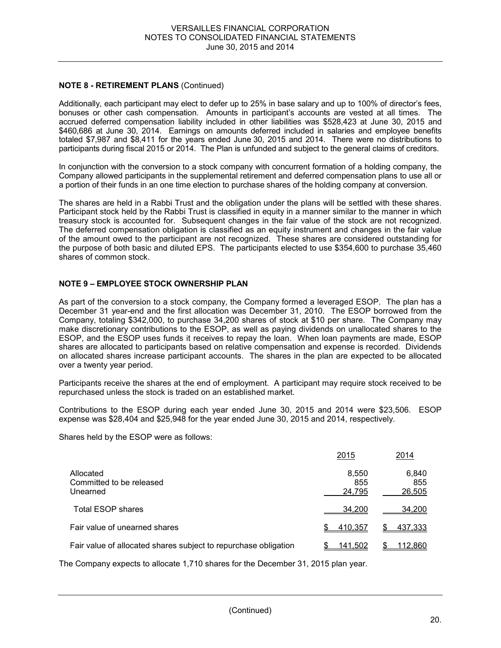# **NOTE 8 - RETIREMENT PLANS** (Continued)

Additionally, each participant may elect to defer up to 25% in base salary and up to 100% of director's fees, bonuses or other cash compensation. Amounts in participant's accounts are vested at all times. The accrued deferred compensation liability included in other liabilities was \$528,423 at June 30, 2015 and \$460,686 at June 30, 2014. Earnings on amounts deferred included in salaries and employee benefits totaled \$7,987 and \$8,411 for the years ended June 30, 2015 and 2014. There were no distributions to participants during fiscal 2015 or 2014. The Plan is unfunded and subject to the general claims of creditors.

In conjunction with the conversion to a stock company with concurrent formation of a holding company, the Company allowed participants in the supplemental retirement and deferred compensation plans to use all or a portion of their funds in an one time election to purchase shares of the holding company at conversion.

The shares are held in a Rabbi Trust and the obligation under the plans will be settled with these shares. Participant stock held by the Rabbi Trust is classified in equity in a manner similar to the manner in which treasury stock is accounted for. Subsequent changes in the fair value of the stock are not recognized. The deferred compensation obligation is classified as an equity instrument and changes in the fair value of the amount owed to the participant are not recognized. These shares are considered outstanding for the purpose of both basic and diluted EPS. The participants elected to use \$354,600 to purchase 35,460 shares of common stock.

# **NOTE 9 – EMPLOYEE STOCK OWNERSHIP PLAN**

As part of the conversion to a stock company, the Company formed a leveraged ESOP. The plan has a December 31 year-end and the first allocation was December 31, 2010. The ESOP borrowed from the Company, totaling \$342,000, to purchase 34,200 shares of stock at \$10 per share. The Company may make discretionary contributions to the ESOP, as well as paying dividends on unallocated shares to the ESOP, and the ESOP uses funds it receives to repay the loan. When loan payments are made, ESOP shares are allocated to participants based on relative compensation and expense is recorded. Dividends on allocated shares increase participant accounts. The shares in the plan are expected to be allocated over a twenty year period.

Participants receive the shares at the end of employment. A participant may require stock received to be repurchased unless the stock is traded on an established market.

Contributions to the ESOP during each year ended June 30, 2015 and 2014 were \$23,506. ESOP expense was \$28,404 and \$25,948 for the year ended June 30, 2015 and 2014, respectively.

Shares held by the ESOP were as follows:

|                                                                 | 2015                   | 2014                   |
|-----------------------------------------------------------------|------------------------|------------------------|
| Allocated<br>Committed to be released<br>Unearned               | 8,550<br>855<br>24.795 | 6,840<br>855<br>26,505 |
| Total ESOP shares                                               | 34.200                 | 34,200                 |
| Fair value of unearned shares                                   | 410,357                | 437,333                |
| Fair value of allocated shares subject to repurchase obligation | 141,502                | 112,860                |

The Company expects to allocate 1,710 shares for the December 31, 2015 plan year.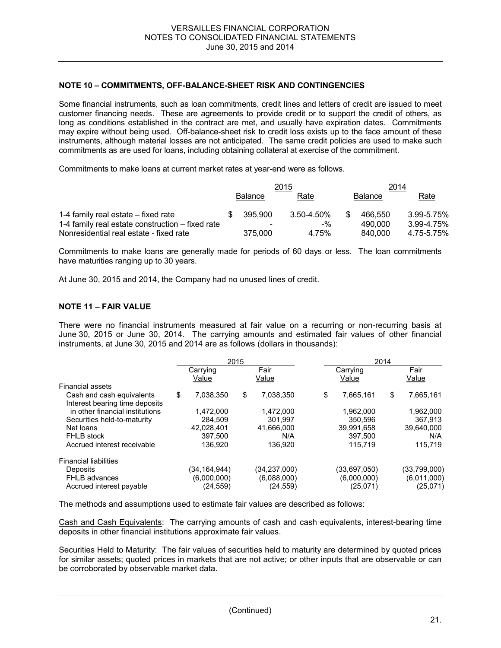### **NOTE 10 – COMMITMENTS, OFF-BALANCE-SHEET RISK AND CONTINGENCIES**

Some financial instruments, such as loan commitments, credit lines and letters of credit are issued to meet customer financing needs. These are agreements to provide credit or to support the credit of others, as long as conditions established in the contract are met, and usually have expiration dates. Commitments may expire without being used. Off-balance-sheet risk to credit loss exists up to the face amount of these instruments, although material losses are not anticipated. The same credit policies are used to make such commitments as are used for loans, including obtaining collateral at exercise of the commitment.

Commitments to make loans at current market rates at year-end were as follows.

|                                                  | 2015 |                |            |  | 2014           |            |
|--------------------------------------------------|------|----------------|------------|--|----------------|------------|
|                                                  |      | <b>Balance</b> | Rate       |  | <b>Balance</b> | Rate       |
| 1-4 family real estate – fixed rate              |      | 395.900        | 3.50-4.50% |  | 466.550        | 3.99-5.75% |
| 1-4 family real estate construction – fixed rate |      |                | $-9/2$     |  | 490.000        | 3.99-4.75% |
| Nonresidential real estate - fixed rate          |      | 375,000        | 4.75%      |  | 840,000        | 4.75-5.75% |

Commitments to make loans are generally made for periods of 60 days or less. The loan commitments have maturities ranging up to 30 years.

At June 30, 2015 and 2014, the Company had no unused lines of credit.

### **NOTE 11 – FAIR VALUE**

There were no financial instruments measured at fair value on a recurring or non-recurring basis at June 30, 2015 or June 30, 2014. The carrying amounts and estimated fair values of other financial instruments, at June 30, 2015 and 2014 are as follows (dollars in thousands):

|                                                             | 2015              |    |               |                   | 2014 |               |  |
|-------------------------------------------------------------|-------------------|----|---------------|-------------------|------|---------------|--|
|                                                             | Carrying<br>Value |    | Fair<br>Value | Carrying<br>Value |      | Fair<br>Value |  |
| <b>Financial assets</b>                                     |                   |    |               |                   |      |               |  |
| Cash and cash equivalents<br>Interest bearing time deposits | \$<br>7.038.350   | \$ | 7.038.350     | \$<br>7,665,161   | \$   | 7.665.161     |  |
| in other financial institutions                             | 1.472.000         |    | 1,472,000     | 1.962.000         |      | 1,962,000     |  |
| Securities held-to-maturity                                 | 284.509           |    | 301,997       | 350.596           |      | 367,913       |  |
| Net loans                                                   | 42.028.401        |    | 41.666.000    | 39.991.658        |      | 39,640,000    |  |
| <b>FHLB</b> stock                                           | 397.500           |    | N/A           | 397,500           |      | N/A           |  |
| Accrued interest receivable                                 | 136.920           |    | 136.920       | 115.719           |      | 115.719       |  |
| <b>Financial liabilities</b>                                |                   |    |               |                   |      |               |  |
| <b>Deposits</b>                                             | (34,164,944)      |    | (34,237,000)  | (33,697,050)      |      | (33,799,000)  |  |
| <b>FHLB</b> advances                                        | (6,000,000)       |    | (6,088,000)   | (6,000,000)       |      | (6,011,000)   |  |
| Accrued interest payable                                    | (24,559)          |    | (24, 559)     | (25,071)          |      | (25,071)      |  |

The methods and assumptions used to estimate fair values are described as follows:

Cash and Cash Equivalents: The carrying amounts of cash and cash equivalents, interest-bearing time deposits in other financial institutions approximate fair values.

Securities Held to Maturity: The fair values of securities held to maturity are determined by quoted prices for similar assets; quoted prices in markets that are not active; or other inputs that are observable or can be corroborated by observable market data.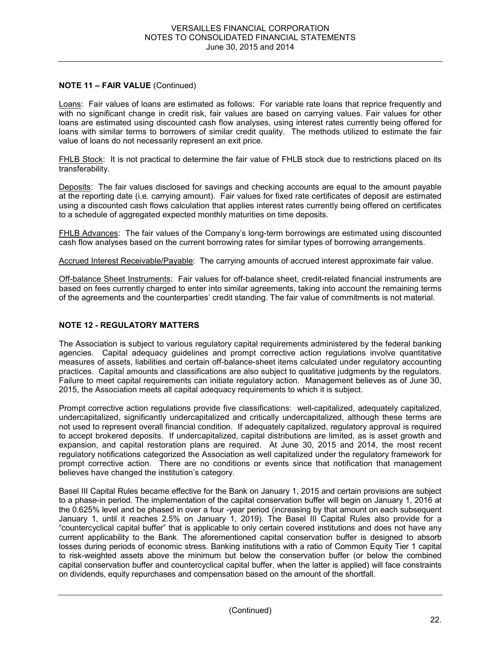# **NOTE 11 – FAIR VALUE** (Continued)

Loans: Fair values of loans are estimated as follows: For variable rate loans that reprice frequently and with no significant change in credit risk, fair values are based on carrying values. Fair values for other loans are estimated using discounted cash flow analyses, using interest rates currently being offered for loans with similar terms to borrowers of similar credit quality. The methods utilized to estimate the fair value of loans do not necessarily represent an exit price.

FHLB Stock: It is not practical to determine the fair value of FHLB stock due to restrictions placed on its transferability.

Deposits: The fair values disclosed for savings and checking accounts are equal to the amount payable at the reporting date (i.e. carrying amount). Fair values for fixed rate certificates of deposit are estimated using a discounted cash flows calculation that applies interest rates currently being offered on certificates to a schedule of aggregated expected monthly maturities on time deposits.

FHLB Advances: The fair values of the Company's long-term borrowings are estimated using discounted cash flow analyses based on the current borrowing rates for similar types of borrowing arrangements.

Accrued Interest Receivable/Payable: The carrying amounts of accrued interest approximate fair value.

Off-balance Sheet Instruments: Fair values for off-balance sheet, credit-related financial instruments are based on fees currently charged to enter into similar agreements, taking into account the remaining terms of the agreements and the counterparties' credit standing. The fair value of commitments is not material.

# **NOTE 12 - REGULATORY MATTERS**

The Association is subject to various regulatory capital requirements administered by the federal banking agencies. Capital adequacy guidelines and prompt corrective action regulations involve quantitative measures of assets, liabilities and certain off-balance-sheet items calculated under regulatory accounting practices. Capital amounts and classifications are also subject to qualitative judgments by the regulators. Failure to meet capital requirements can initiate regulatory action. Management believes as of June 30, 2015, the Association meets all capital adequacy requirements to which it is subject.

Prompt corrective action regulations provide five classifications: well-capitalized, adequately capitalized, undercapitalized, significantly undercapitalized and critically undercapitalized, although these terms are not used to represent overall financial condition. If adequately capitalized, regulatory approval is required to accept brokered deposits. If undercapitalized, capital distributions are limited, as is asset growth and expansion, and capital restoration plans are required. At June 30, 2015 and 2014, the most recent regulatory notifications categorized the Association as well capitalized under the regulatory framework for prompt corrective action. There are no conditions or events since that notification that management believes have changed the institution's category.

Basel III Capital Rules became effective for the Bank on January 1, 2015 and certain provisions are subject to a phase-in period. The implementation of the capital conservation buffer will begin on January 1, 2016 at the 0.625% level and be phased in over a four -year period (increasing by that amount on each subsequent January 1, until it reaches 2.5% on January 1, 2019). The Basel III Capital Rules also provide for a "countercyclical capital buffer" that is applicable to only certain covered institutions and does not have any current applicability to the Bank. The aforementioned capital conservation buffer is designed to absorb losses during periods of economic stress. Banking institutions with a ratio of Common Equity Tier 1 capital to risk-weighted assets above the minimum but below the conservation buffer (or below the combined capital conservation buffer and countercyclical capital buffer, when the latter is applied) will face constraints on dividends, equity repurchases and compensation based on the amount of the shortfall.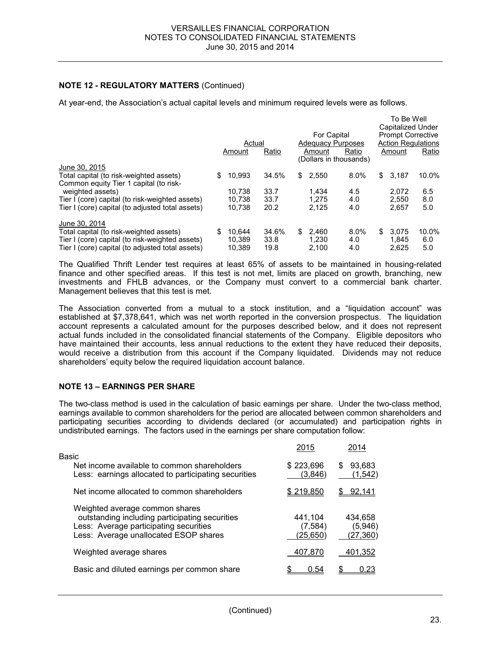# **NOTE 12 - REGULATORY MATTERS** (Continued)

At year-end, the Association's actual capital levels and minimum required levels were as follows.

|                                                                                                                                                                 | Actual<br>Amount                 | Ratio                 | For Capital<br><b>Adequacy Purposes</b><br>Amount | Ratio<br>(Dollars in thousands) | To Be Well<br>Capitalized Under<br><b>Prompt Corrective</b><br><b>Action Regulations</b><br>Amount | Ratio               |
|-----------------------------------------------------------------------------------------------------------------------------------------------------------------|----------------------------------|-----------------------|---------------------------------------------------|---------------------------------|----------------------------------------------------------------------------------------------------|---------------------|
| June 30, 2015<br>Total capital (to risk-weighted assets)<br>Common equity Tier 1 capital (to risk-<br>weighted assets)                                          | \$<br>10.993<br>10.738           | 34.5%<br>33.7         | \$<br>2.550<br>1.434                              | 8.0%<br>4.5                     | \$3.187<br>2.072                                                                                   | 10.0%<br>6.5        |
| Tier I (core) capital (to risk-weighted assets)<br>Tier I (core) capital (to adjusted total assets)                                                             | 10.738<br>10,738                 | 33.7<br>20.2          | 1.275<br>2.125                                    | 4.0<br>4.0                      | 2.550<br>2.657                                                                                     | 8.0<br>5.0          |
| June 30, 2014<br>Total capital (to risk-weighted assets)<br>Tier I (core) capital (to risk-weighted assets)<br>Tier I (core) capital (to adjusted total assets) | \$<br>10.644<br>10.389<br>10.389 | 34.6%<br>33.8<br>19.8 | \$<br>2.460<br>1.230<br>2.100                     | 8.0%<br>4.0<br>4.0              | \$<br>3,075<br>1.845<br>2.625                                                                      | 10.0%<br>6.0<br>5.0 |

The Qualified Thrift Lender test requires at least 65% of assets to be maintained in housing-related finance and other specified areas. If this test is not met, limits are placed on growth, branching, new investments and FHLB advances, or the Company must convert to a commercial bank charter. Management believes that this test is met.

The Association converted from a mutual to a stock institution, and a "liquidation account" was established at \$7,378,641, which was net worth reported in the conversion prospectus. The liquidation account represents a calculated amount for the purposes described below, and it does not represent actual funds included in the consolidated financial statements of the Company. Eligible depositors who have maintained their accounts, less annual reductions to the extent they have reduced their deposits, would receive a distribution from this account if the Company liquidated. Dividends may not reduce shareholders' equity below the required liquidation account balance.

# **NOTE 13 – EARNINGS PER SHARE**

The two-class method is used in the calculation of basic earnings per share. Under the two-class method, earnings available to common shareholders for the period are allocated between common shareholders and participating securities according to dividends declared (or accumulated) and participation rights in undistributed earnings. The factors used in the earnings per share computation follow:

|                                                                                                                                                                     | 2015                            | 2014                            |
|---------------------------------------------------------------------------------------------------------------------------------------------------------------------|---------------------------------|---------------------------------|
| Basic<br>Net income available to common shareholders<br>Less: earnings allocated to participating securities                                                        | \$223,696<br>(3,846)            | 93,683<br>S<br>(1, 542)         |
| Net income allocated to common shareholders                                                                                                                         | <u>\$219,850</u>                | 92,141<br>S                     |
| Weighted average common shares<br>outstanding including participating securities<br>Less: Average participating securities<br>Less: Average unallocated ESOP shares | 441,104<br>(7, 584)<br>(25,650) | 434,658<br>(5,946)<br>(27, 360) |
| Weighted average shares                                                                                                                                             | 407.870                         | 401,352                         |
| Basic and diluted earnings per common share                                                                                                                         | 0.54                            | 0.23                            |